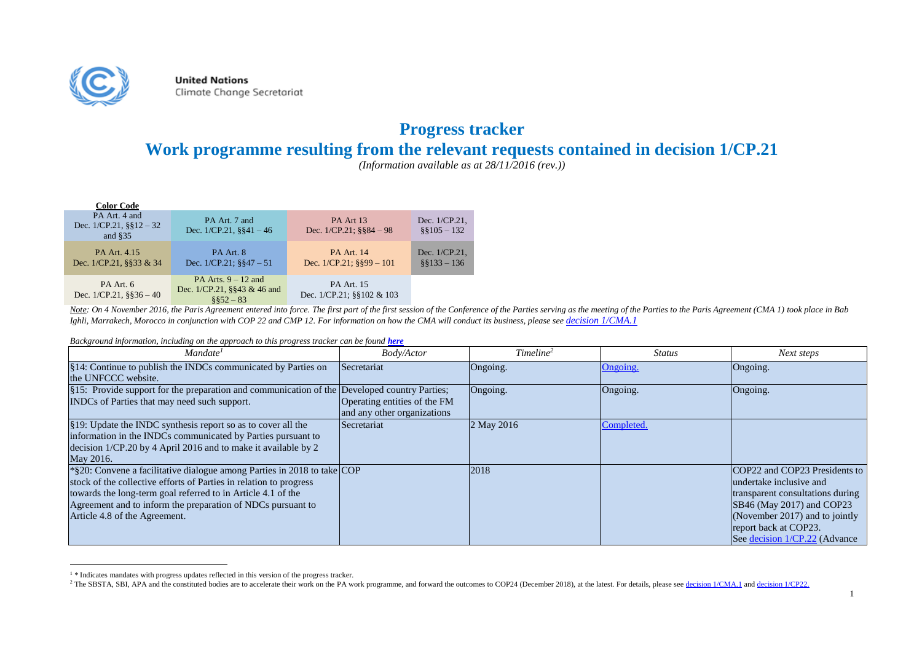

 $\overline{a}$ 

**United Nations** Climate Change Secretariat

## **Progress tracker**

## **Work programme resulting from the relevant requests contained in decision 1/CP.21**

*(Information available as at 28/11/2016 (rev.))*

| <b>Color Code</b>                                               |                                                                        |                                                    |                                 |
|-----------------------------------------------------------------|------------------------------------------------------------------------|----------------------------------------------------|---------------------------------|
| PA Art. 4 and<br>Dec. $1/CP.21$ , $\S$ § $12 - 32$<br>and $$35$ | PA Art. 7 and<br>Dec. $1/CP.21$ , $\S$ §41 – 46                        | PA Art 13<br>Dec. $1/CP.21$ ; $\S$ §84 – 98        | Dec. 1/CP.21.<br>$$8105 - 132$  |
| PA Art. 4.15<br>Dec. $1/CP.21$ , §§33 & 34                      | PA Art. 8<br>Dec. $1/CP.21$ ; $§$ §47 - 51                             | <b>PA Art. 14</b><br>Dec. $1/CP.21$ ; $8899 - 101$ | Dec. 1/CP.21.<br>$§$ §133 - 136 |
| PA Art. 6<br>Dec. $1/CP.21$ , $\S$ §36 – 40                     | PA Arts. $9 - 12$ and<br>Dec. $1/CP.21$ , §§43 & 46 and<br>$8852 - 83$ | <b>PA Art. 15</b><br>Dec. 1/CP.21; §§102 & 103     |                                 |

Note: On 4 November 2016, the Paris Agreement entered into force. The first part of the first session of the Conference of the Parties serving as the meeting of the Parties to the Partis Agreement (CMA 1) took place in Bab *Ighli, Marrakech, Morocco in conjunction with COP 22 and CMP 12. For information on how the CMA will conduct its business, please see [decision 1/CMA.1](http://unfccc.int/files/meetings/marrakech_nov_2016/application/pdf/proposal_by_the_president_181116_0230hrs.pdf)*

*Background information, including on the approach to this progress tracker can be found <i>[here](http://unfccc.int/files/paris_agreement/application/pdf/progress_tracker_methodology_050716_1530.pdf)* 

| Mandate <sup>1</sup>                                                                                                                                                                                                                                                                                          | Body/Actor                                                  | Timeline <sup>2</sup> | <b>Status</b> | Next steps                                                                                                                                                                                                            |
|---------------------------------------------------------------------------------------------------------------------------------------------------------------------------------------------------------------------------------------------------------------------------------------------------------------|-------------------------------------------------------------|-----------------------|---------------|-----------------------------------------------------------------------------------------------------------------------------------------------------------------------------------------------------------------------|
| §14: Continue to publish the INDCs communicated by Parties on<br>the UNFCCC website.                                                                                                                                                                                                                          | Secretariat                                                 | Ongoing.              | Ongoing.      | Ongoing.                                                                                                                                                                                                              |
| §15: Provide support for the preparation and communication of the Developed country Parties;<br>INDCs of Parties that may need such support.                                                                                                                                                                  | Operating entities of the FM<br>and any other organizations | Ongoing.              | Ongoing.      | Ongoing.                                                                                                                                                                                                              |
| §19: Update the INDC synthesis report so as to cover all the<br>information in the INDCs communicated by Parties pursuant to<br>decision 1/CP.20 by 4 April 2016 and to make it available by 2<br>May 2016.                                                                                                   | Secretariat                                                 | 2 May 2016            | Completed.    |                                                                                                                                                                                                                       |
| *§20: Convene a facilitative dialogue among Parties in 2018 to take COP<br>stock of the collective efforts of Parties in relation to progress<br>towards the long-term goal referred to in Article 4.1 of the<br>Agreement and to inform the preparation of NDCs pursuant to<br>Article 4.8 of the Agreement. |                                                             | 2018                  |               | COP22 and COP23 Presidents to<br>undertake inclusive and<br>transparent consultations during<br>SB46 (May 2017) and COP23<br>(November 2017) and to jointly<br>report back at COP23.<br>See decision 1/CP.22 (Advance |

<sup>&</sup>lt;sup>1</sup> \* Indicates mandates with progress updates reflected in this version of the progress tracker.

<sup>&</sup>lt;sup>2</sup> The SBSTA, SBI, APA and the constituted bodies are to accelerate their work on the PA work programme, and forward the outcomes to COP24 (December 2018), at the latest. For details, please se[e decision 1/CMA.1](http://unfccc.int/files/meetings/marrakech_nov_2016/application/pdf/auv_cma1_matters_relating_to_the_implementation_of_the_paris_agreement.pdf) and decis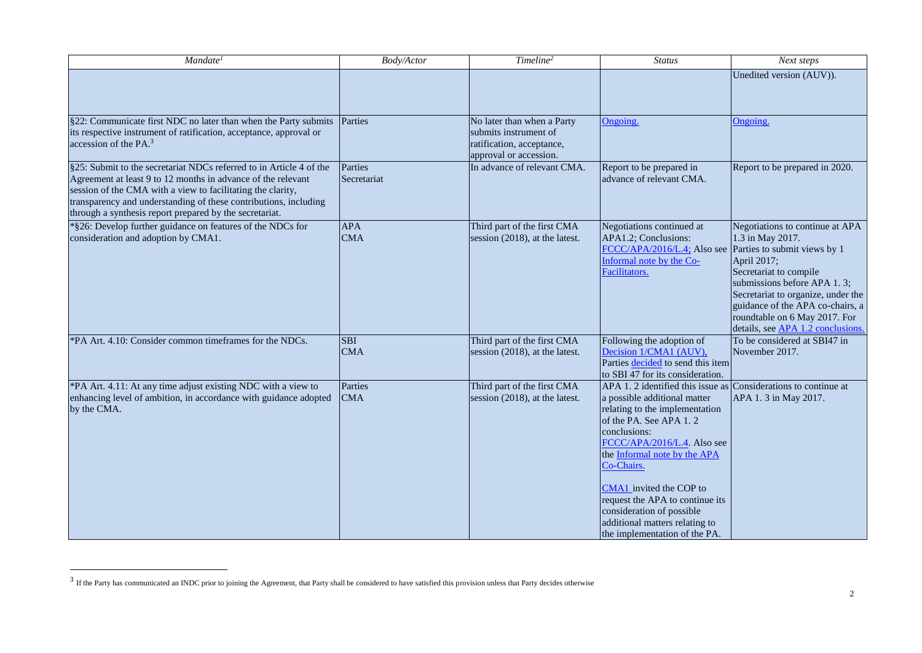| Mandate <sup>1</sup>                                                                                                                                                                                                                                                                                                              | Body/Actor               | Timeline <sup>2</sup>                                                                                      | <b>Status</b>                                                                                                                                                                                                                                                                                                                                                                           | Next steps                                                                                                                                                                                                                                                                                                  |
|-----------------------------------------------------------------------------------------------------------------------------------------------------------------------------------------------------------------------------------------------------------------------------------------------------------------------------------|--------------------------|------------------------------------------------------------------------------------------------------------|-----------------------------------------------------------------------------------------------------------------------------------------------------------------------------------------------------------------------------------------------------------------------------------------------------------------------------------------------------------------------------------------|-------------------------------------------------------------------------------------------------------------------------------------------------------------------------------------------------------------------------------------------------------------------------------------------------------------|
|                                                                                                                                                                                                                                                                                                                                   |                          |                                                                                                            |                                                                                                                                                                                                                                                                                                                                                                                         | Unedited version (AUV)).                                                                                                                                                                                                                                                                                    |
| §22: Communicate first NDC no later than when the Party submits<br>its respective instrument of ratification, acceptance, approval or<br>accession of the $PA3$                                                                                                                                                                   | Parties                  | No later than when a Party<br>submits instrument of<br>ratification, acceptance,<br>approval or accession. | Ongoing.                                                                                                                                                                                                                                                                                                                                                                                | Ongoing.                                                                                                                                                                                                                                                                                                    |
| §25: Submit to the secretariat NDCs referred to in Article 4 of the<br>Agreement at least 9 to 12 months in advance of the relevant<br>session of the CMA with a view to facilitating the clarity,<br>transparency and understanding of these contributions, including<br>through a synthesis report prepared by the secretariat. | Parties<br>Secretariat   | In advance of relevant CMA.                                                                                | Report to be prepared in<br>advance of relevant CMA.                                                                                                                                                                                                                                                                                                                                    | Report to be prepared in 2020.                                                                                                                                                                                                                                                                              |
| *§26: Develop further guidance on features of the NDCs for<br>consideration and adoption by CMA1.                                                                                                                                                                                                                                 | <b>APA</b><br><b>CMA</b> | Third part of the first CMA<br>session (2018), at the latest.                                              | Negotiations continued at<br>APA1.2; Conclusions:<br>FCCC/APA/2016/L.4; Also see<br>Informal note by the Co-<br>Facilitators.                                                                                                                                                                                                                                                           | Negotiations to continue at APA<br>1.3 in May 2017.<br>Parties to submit views by 1<br>April 2017;<br>Secretariat to compile<br>submissions before APA 1.3;<br>Secretariat to organize, under the<br>guidance of the APA co-chairs, a<br>roundtable on 6 May 2017. For<br>details, see APA 1.2 conclusions. |
| *PA Art. 4.10: Consider common timeframes for the NDCs.                                                                                                                                                                                                                                                                           | <b>SBI</b><br><b>CMA</b> | Third part of the first CMA<br>session (2018), at the latest.                                              | Following the adoption of<br>Decision 1/CMA1 (AUV),<br>Parties decided to send this item<br>to SBI 47 for its consideration.                                                                                                                                                                                                                                                            | To be considered at SBI47 in<br>November 2017.                                                                                                                                                                                                                                                              |
| *PA Art. 4.11: At any time adjust existing NDC with a view to<br>enhancing level of ambition, in accordance with guidance adopted<br>by the CMA.                                                                                                                                                                                  | Parties<br><b>CMA</b>    | Third part of the first CMA<br>session (2018), at the latest.                                              | APA 1.2 identified this issue as<br>a possible additional matter<br>relating to the implementation<br>of the PA. See APA 1.2<br>conclusions:<br>FCCC/APA/2016/L.4. Also see<br>the Informal note by the APA<br>Co-Chairs.<br>CMA1 invited the COP to<br>request the APA to continue its<br>consideration of possible<br>additional matters relating to<br>the implementation of the PA. | Considerations to continue at<br>APA 1.3 in May 2017.                                                                                                                                                                                                                                                       |

<sup>&</sup>lt;sup>3</sup> If the Party has communicated an INDC prior to joining the Agreement, that Party shall be considered to have satisfied this provision unless that Party decides otherwise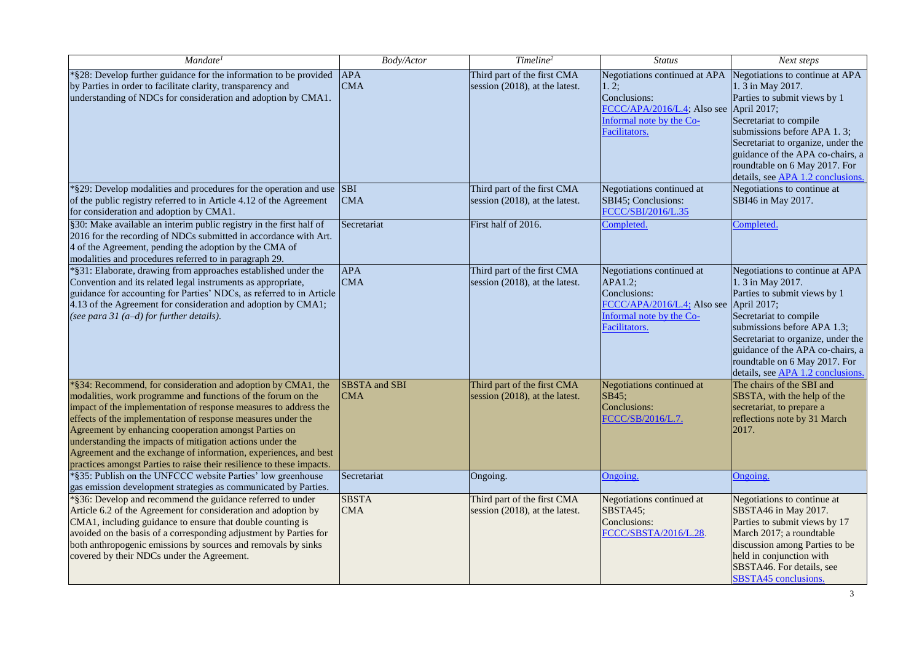| Mandate <sup>1</sup>                                                                                                                                                                                                                                                                                                                                                                                                                                                                                                                | <b>Body/Actor</b>           | Timeline <sup>2</sup>                                         | <b>Status</b>                                                                                                                              | Next steps                                                                                                                                                                                                                                                                                                   |
|-------------------------------------------------------------------------------------------------------------------------------------------------------------------------------------------------------------------------------------------------------------------------------------------------------------------------------------------------------------------------------------------------------------------------------------------------------------------------------------------------------------------------------------|-----------------------------|---------------------------------------------------------------|--------------------------------------------------------------------------------------------------------------------------------------------|--------------------------------------------------------------------------------------------------------------------------------------------------------------------------------------------------------------------------------------------------------------------------------------------------------------|
| *§28: Develop further guidance for the information to be provided<br>by Parties in order to facilitate clarity, transparency and<br>understanding of NDCs for consideration and adoption by CMA1.                                                                                                                                                                                                                                                                                                                                   | <b>APA</b><br><b>CMA</b>    | Third part of the first CMA<br>session (2018), at the latest. | Negotiations continued at APA<br> 1, 2;<br>Conclusions:<br>FCCC/APA/2016/L.4; Also see<br>Informal note by the Co-<br><b>Facilitators.</b> | Negotiations to continue at APA<br>1. 3 in May 2017.<br>Parties to submit views by 1<br>April 2017;<br>Secretariat to compile<br>submissions before APA 1.3;<br>Secretariat to organize, under the<br>guidance of the APA co-chairs, a<br>roundtable on 6 May 2017. For<br>details, see APA 1.2 conclusions. |
| *§29: Develop modalities and procedures for the operation and use SBI<br>of the public registry referred to in Article 4.12 of the Agreement<br>for consideration and adoption by CMA1.                                                                                                                                                                                                                                                                                                                                             | <b>CMA</b>                  | Third part of the first CMA<br>session (2018), at the latest. | Negotiations continued at<br>SBI45; Conclusions:<br>FCCC/SBI/2016/L.35                                                                     | Negotiations to continue at<br>SBI46 in May 2017.                                                                                                                                                                                                                                                            |
| §30: Make available an interim public registry in the first half of<br>2016 for the recording of NDCs submitted in accordance with Art.<br>4 of the Agreement, pending the adoption by the CMA of<br>modalities and procedures referred to in paragraph 29.                                                                                                                                                                                                                                                                         | Secretariat                 | First half of 2016.                                           | Completed.                                                                                                                                 | Completed.                                                                                                                                                                                                                                                                                                   |
| *§31: Elaborate, drawing from approaches established under the<br>Convention and its related legal instruments as appropriate,<br>guidance for accounting for Parties' NDCs, as referred to in Article<br>4.13 of the Agreement for consideration and adoption by CMA1;<br>(see para 31 $(a-d)$ for further details).                                                                                                                                                                                                               | <b>APA</b><br><b>CMA</b>    | Third part of the first CMA<br>session (2018), at the latest. | Negotiations continued at<br>APA1.2;<br>Conclusions:<br>FCCC/APA/2016/L.4; Also see<br>Informal note by the Co-<br>Facilitators.           | Negotiations to continue at APA<br>1. 3 in May 2017.<br>Parties to submit views by 1<br>April 2017;<br>Secretariat to compile<br>submissions before APA 1.3;<br>Secretariat to organize, under the<br>guidance of the APA co-chairs, a<br>roundtable on 6 May 2017. For<br>details, see APA 1.2 conclusions. |
| *§34: Recommend, for consideration and adoption by CMA1, the<br>modalities, work programme and functions of the forum on the<br>impact of the implementation of response measures to address the<br>effects of the implementation of response measures under the<br>Agreement by enhancing cooperation amongst Parties on<br>understanding the impacts of mitigation actions under the<br>Agreement and the exchange of information, experiences, and best<br>practices amongst Parties to raise their resilience to these impacts. | SBSTA and SBI<br><b>CMA</b> | Third part of the first CMA<br>session (2018), at the latest. | Negotiations continued at<br>SB45;<br>Conclusions:<br>FCCC/SB/2016/L.7.                                                                    | The chairs of the SBI and<br>SBSTA, with the help of the<br>secretariat, to prepare a<br>reflections note by 31 March<br>2017.                                                                                                                                                                               |
| *§35: Publish on the UNFCCC website Parties' low greenhouse<br>gas emission development strategies as communicated by Parties.                                                                                                                                                                                                                                                                                                                                                                                                      | Secretariat                 | Ongoing.                                                      | Ongoing.                                                                                                                                   | Ongoing.                                                                                                                                                                                                                                                                                                     |
| *§36: Develop and recommend the guidance referred to under<br>Article 6.2 of the Agreement for consideration and adoption by<br>CMA1, including guidance to ensure that double counting is<br>avoided on the basis of a corresponding adjustment by Parties for<br>both anthropogenic emissions by sources and removals by sinks<br>covered by their NDCs under the Agreement.                                                                                                                                                      | <b>SBSTA</b><br><b>CMA</b>  | Third part of the first CMA<br>session (2018), at the latest. | Negotiations continued at<br>SBSTA45;<br>Conclusions:<br>FCCC/SBSTA/2016/L.28.                                                             | Negotiations to continue at<br>SBSTA46 in May 2017.<br>Parties to submit views by 17<br>March 2017; a roundtable<br>discussion among Parties to be<br>held in conjunction with<br>SBSTA46. For details, see<br><b>SBSTA45</b> conclusions.                                                                   |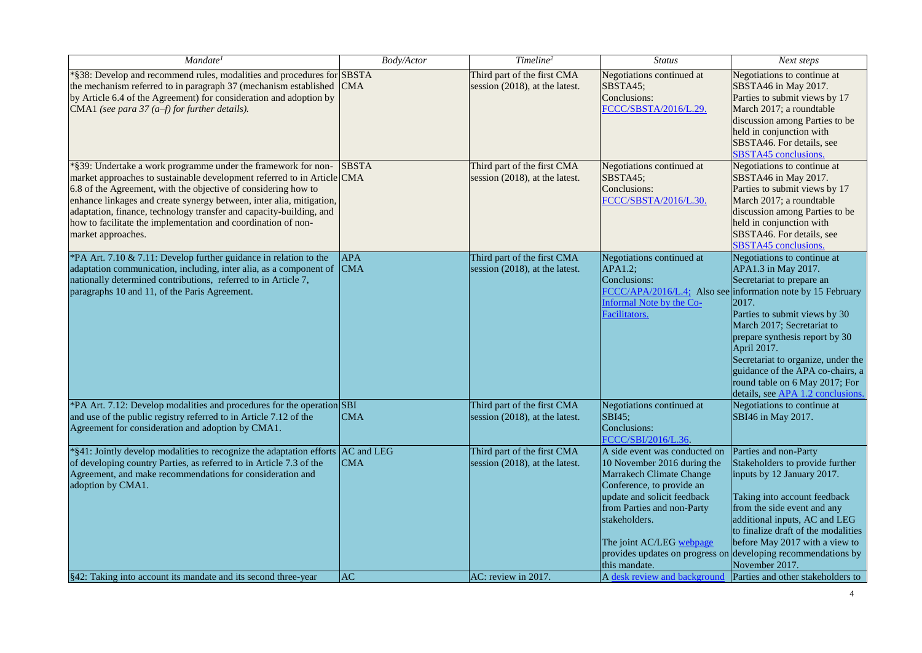| Mandate <sup>1</sup>                                                                                                                                                                                                                                                                                                                                                                                                                             | Body/Actor               | Timeline <sup>2</sup>                                         | <b>Status</b>                                                                                                                                                                                                                                    | Next steps                                                                                                                                                                                                                                                                                                                                                                                                               |
|--------------------------------------------------------------------------------------------------------------------------------------------------------------------------------------------------------------------------------------------------------------------------------------------------------------------------------------------------------------------------------------------------------------------------------------------------|--------------------------|---------------------------------------------------------------|--------------------------------------------------------------------------------------------------------------------------------------------------------------------------------------------------------------------------------------------------|--------------------------------------------------------------------------------------------------------------------------------------------------------------------------------------------------------------------------------------------------------------------------------------------------------------------------------------------------------------------------------------------------------------------------|
| *§38: Develop and recommend rules, modalities and procedures for SBSTA<br>the mechanism referred to in paragraph 37 (mechanism established<br>by Article 6.4 of the Agreement) for consideration and adoption by<br>CMA1 (see para 37 $(a-f)$ for further details).                                                                                                                                                                              | <b>CMA</b>               | Third part of the first CMA<br>session (2018), at the latest. | Negotiations continued at<br>SBSTA45;<br>Conclusions:<br>FCCC/SBSTA/2016/L.29.                                                                                                                                                                   | Negotiations to continue at<br>SBSTA46 in May 2017.<br>Parties to submit views by 17<br>March 2017; a roundtable<br>discussion among Parties to be<br>held in conjunction with<br>SBSTA46. For details, see<br><b>SBSTA45</b> conclusions.                                                                                                                                                                               |
| *§39: Undertake a work programme under the framework for non-<br>market approaches to sustainable development referred to in Article CMA<br>6.8 of the Agreement, with the objective of considering how to<br>enhance linkages and create synergy between, inter alia, mitigation,<br>adaptation, finance, technology transfer and capacity-building, and<br>how to facilitate the implementation and coordination of non-<br>market approaches. | <b>SBSTA</b>             | Third part of the first CMA<br>session (2018), at the latest. | Negotiations continued at<br>SBSTA45;<br>Conclusions:<br>FCCC/SBSTA/2016/L.30.                                                                                                                                                                   | Negotiations to continue at<br>SBSTA46 in May 2017.<br>Parties to submit views by 17<br>March 2017; a roundtable<br>discussion among Parties to be<br>held in conjunction with<br>SBSTA46. For details, see<br><b>SBSTA45</b> conclusions.                                                                                                                                                                               |
| *PA Art. 7.10 & 7.11: Develop further guidance in relation to the<br>adaptation communication, including, inter alia, as a component of<br>nationally determined contributions, referred to in Article 7,<br>paragraphs 10 and 11, of the Paris Agreement.                                                                                                                                                                                       | <b>APA</b><br><b>CMA</b> | Third part of the first CMA<br>session (2018), at the latest. | Negotiations continued at<br>APA1.2;<br>Conclusions:<br><b>Informal Note by the Co-</b><br>Facilitators.                                                                                                                                         | Negotiations to continue at<br>APA1.3 in May 2017.<br>Secretariat to prepare an<br>FCCC/APA/2016/L.4; Also see information note by 15 February<br>2017.<br>Parties to submit views by 30<br>March 2017; Secretariat to<br>prepare synthesis report by 30<br>April 2017.<br>Secretariat to organize, under the<br>guidance of the APA co-chairs, a<br>round table on 6 May 2017; For<br>details, see APA 1.2 conclusions. |
| *PA Art. 7.12: Develop modalities and procedures for the operation SBI<br>and use of the public registry referred to in Article 7.12 of the<br>Agreement for consideration and adoption by CMA1.                                                                                                                                                                                                                                                 | <b>CMA</b>               | Third part of the first CMA<br>session (2018), at the latest. | Negotiations continued at<br><b>SBI45</b> ;<br>Conclusions:<br>FCCC/SBI/2016/L.36.                                                                                                                                                               | Negotiations to continue at<br>SBI46 in May 2017.                                                                                                                                                                                                                                                                                                                                                                        |
| *§41: Jointly develop modalities to recognize the adaptation efforts AC and LEG<br>of developing country Parties, as referred to in Article 7.3 of the<br>Agreement, and make recommendations for consideration and<br>adoption by CMA1.                                                                                                                                                                                                         | <b>CMA</b>               | Third part of the first CMA<br>session (2018), at the latest. | A side event was conducted on<br>10 November 2016 during the<br>Marrakech Climate Change<br>Conference, to provide an<br>update and solicit feedback<br>from Parties and non-Party<br>stakeholders.<br>The joint AC/LEG webpage<br>this mandate. | Parties and non-Party<br>Stakeholders to provide further<br>inputs by 12 January 2017.<br>Taking into account feedback<br>from the side event and any<br>additional inputs, AC and LEG<br>to finalize draft of the modalities<br>before May 2017 with a view to<br>provides updates on progress on developing recommendations by<br>November 2017.                                                                       |
| §42: Taking into account its mandate and its second three-year                                                                                                                                                                                                                                                                                                                                                                                   | AC                       | AC: review in 2017.                                           | A desk review and background                                                                                                                                                                                                                     | Parties and other stakeholders to                                                                                                                                                                                                                                                                                                                                                                                        |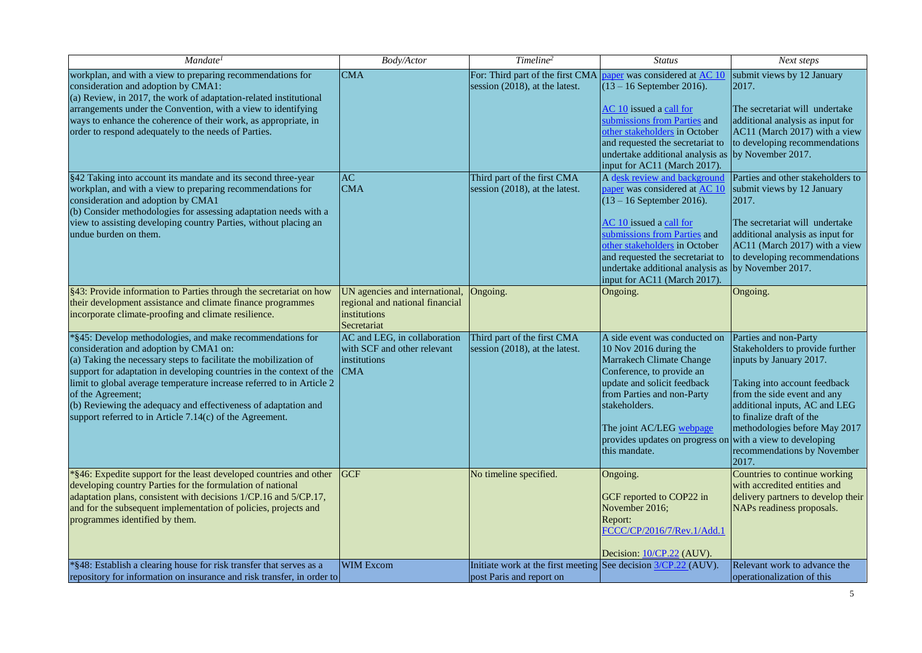| Mandate <sup>1</sup>                                                                                                                                                                                                                                                                                                                                                                                                                                                        | Body/Actor                                                                                       | Timeline <sup>2</sup>                                                                            | <b>Status</b>                                                                                                                                                                                                                                                                                            | Next steps                                                                                                                                                                                                                                                                               |
|-----------------------------------------------------------------------------------------------------------------------------------------------------------------------------------------------------------------------------------------------------------------------------------------------------------------------------------------------------------------------------------------------------------------------------------------------------------------------------|--------------------------------------------------------------------------------------------------|--------------------------------------------------------------------------------------------------|----------------------------------------------------------------------------------------------------------------------------------------------------------------------------------------------------------------------------------------------------------------------------------------------------------|------------------------------------------------------------------------------------------------------------------------------------------------------------------------------------------------------------------------------------------------------------------------------------------|
| workplan, and with a view to preparing recommendations for<br>consideration and adoption by CMA1:<br>(a) Review, in 2017, the work of adaptation-related institutional                                                                                                                                                                                                                                                                                                      | <b>CMA</b>                                                                                       | For: Third part of the first CMA paper was considered at AC 10<br>session (2018), at the latest. | $(13 - 16$ September 2016).                                                                                                                                                                                                                                                                              | submit views by 12 January<br>2017.                                                                                                                                                                                                                                                      |
| arrangements under the Convention, with a view to identifying<br>ways to enhance the coherence of their work, as appropriate, in<br>order to respond adequately to the needs of Parties.                                                                                                                                                                                                                                                                                    |                                                                                                  |                                                                                                  | AC 10 issued a call for<br>submissions from Parties and<br>other stakeholders in October<br>and requested the secretariat to<br>undertake additional analysis as<br>input for AC11 (March 2017).                                                                                                         | The secretariat will undertake<br>additional analysis as input for<br>AC11 (March 2017) with a view<br>to developing recommendations<br>by November 2017.                                                                                                                                |
| §42 Taking into account its mandate and its second three-year<br>workplan, and with a view to preparing recommendations for<br>consideration and adoption by CMA1<br>(b) Consider methodologies for assessing adaptation needs with a                                                                                                                                                                                                                                       | <b>AC</b><br><b>CMA</b>                                                                          | Third part of the first CMA<br>session (2018), at the latest.                                    | A desk review and background<br>paper was considered at AC 10<br>$(13 - 16$ September 2016).                                                                                                                                                                                                             | Parties and other stakeholders to<br>submit views by 12 January<br>2017.                                                                                                                                                                                                                 |
| view to assisting developing country Parties, without placing an<br>undue burden on them.                                                                                                                                                                                                                                                                                                                                                                                   |                                                                                                  |                                                                                                  | AC 10 issued a call for<br>submissions from Parties and<br>other stakeholders in October<br>and requested the secretariat to<br>undertake additional analysis as<br>input for AC11 (March 2017).                                                                                                         | The secretariat will undertake<br>additional analysis as input for<br>AC11 (March 2017) with a view<br>to developing recommendations<br>by November 2017.                                                                                                                                |
| §43: Provide information to Parties through the secretariat on how<br>their development assistance and climate finance programmes<br>incorporate climate-proofing and climate resilience.                                                                                                                                                                                                                                                                                   | UN agencies and international,<br>regional and national financial<br>institutions<br>Secretariat | Ongoing.                                                                                         | Ongoing.                                                                                                                                                                                                                                                                                                 | Ongoing.                                                                                                                                                                                                                                                                                 |
| *§45: Develop methodologies, and make recommendations for<br>consideration and adoption by CMA1 on:<br>(a) Taking the necessary steps to facilitate the mobilization of<br>support for adaptation in developing countries in the context of the<br>limit to global average temperature increase referred to in Article 2<br>of the Agreement;<br>(b) Reviewing the adequacy and effectiveness of adaptation and<br>support referred to in Article 7.14(c) of the Agreement. | AC and LEG, in collaboration<br>with SCF and other relevant<br>institutions<br><b>CMA</b>        | Third part of the first CMA<br>session (2018), at the latest.                                    | A side event was conducted on<br>10 Nov 2016 during the<br>Marrakech Climate Change<br>Conference, to provide an<br>update and solicit feedback<br>from Parties and non-Party<br>stakeholders.<br>The joint AC/LEG webpage<br>provides updates on progress on with a view to developing<br>this mandate. | Parties and non-Party<br>Stakeholders to provide further<br>inputs by January 2017.<br>Taking into account feedback<br>from the side event and any<br>additional inputs, AC and LEG<br>to finalize draft of the<br>methodologies before May 2017<br>recommendations by November<br>2017. |
| *§46: Expedite support for the least developed countries and other<br>developing country Parties for the formulation of national<br>adaptation plans, consistent with decisions 1/CP.16 and 5/CP.17,<br>and for the subsequent implementation of policies, projects and<br>programmes identified by them.                                                                                                                                                                   | <b>IGCF</b>                                                                                      | No timeline specified.                                                                           | Ongoing.<br>GCF reported to COP22 in<br>November 2016;<br>Report:<br>FCCC/CP/2016/7/Rev.1/Add.1<br>Decision: 10/CP.22 (AUV).                                                                                                                                                                             | Countries to continue working<br>with accredited entities and<br>delivery partners to develop their<br>NAPs readiness proposals.                                                                                                                                                         |
| *§48: Establish a clearing house for risk transfer that serves as a<br>repository for information on insurance and risk transfer, in order to                                                                                                                                                                                                                                                                                                                               | <b>WIM Excom</b>                                                                                 | Initiate work at the first meeting See decision 3/CP.22 (AUV).<br>post Paris and report on       |                                                                                                                                                                                                                                                                                                          | Relevant work to advance the<br>operationalization of this                                                                                                                                                                                                                               |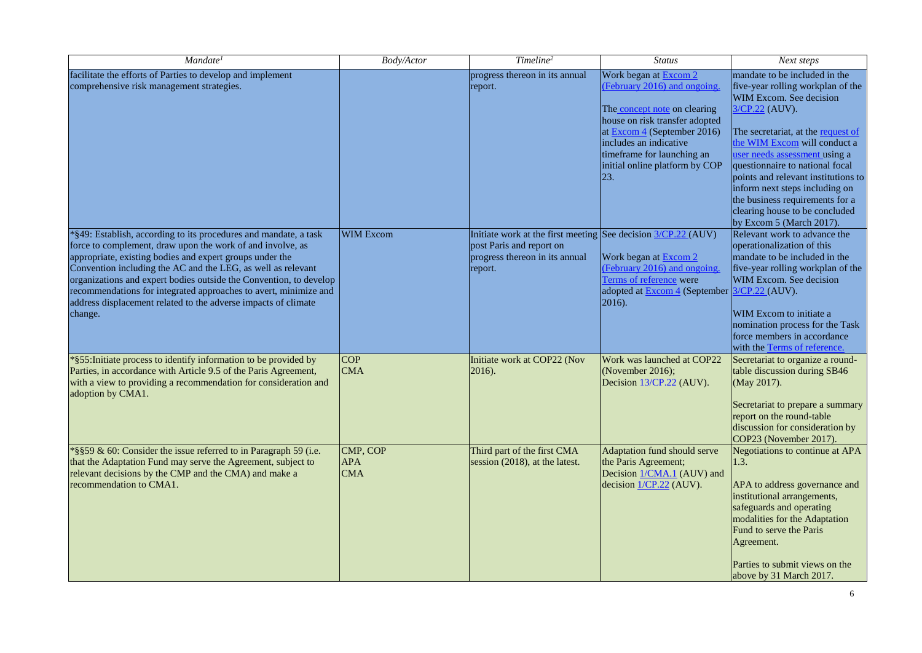| Mandate <sup>1</sup>                                                                                                                                                                                                                                                                                                                                                                                                                                                              | <b>Body/Actor</b>                    | Timeline <sup>2</sup>                                                                                                                  | <b>Status</b>                                                                                                                                                                                                                                            | Next steps                                                                                                                                                                                                                                                                                                                                                                                                                          |
|-----------------------------------------------------------------------------------------------------------------------------------------------------------------------------------------------------------------------------------------------------------------------------------------------------------------------------------------------------------------------------------------------------------------------------------------------------------------------------------|--------------------------------------|----------------------------------------------------------------------------------------------------------------------------------------|----------------------------------------------------------------------------------------------------------------------------------------------------------------------------------------------------------------------------------------------------------|-------------------------------------------------------------------------------------------------------------------------------------------------------------------------------------------------------------------------------------------------------------------------------------------------------------------------------------------------------------------------------------------------------------------------------------|
| facilitate the efforts of Parties to develop and implement<br>comprehensive risk management strategies.                                                                                                                                                                                                                                                                                                                                                                           |                                      | progress thereon in its annual<br>report.                                                                                              | Work began at Excom 2<br>(February 2016) and ongoing.<br>The concept note on clearing<br>house on risk transfer adopted<br>at Excom 4 (September 2016)<br>includes an indicative<br>timeframe for launching an<br>initial online platform by COP<br> 23. | mandate to be included in the<br>five-year rolling workplan of the<br>WIM Excom. See decision<br>3/CP.22 (AUV).<br>The secretariat, at the request of<br>the WIM Excom will conduct a<br>user needs assessment using a<br>questionnaire to national focal<br>points and relevant institutions to<br>inform next steps including on<br>the business requirements for a<br>clearing house to be concluded<br>by Excom 5 (March 2017). |
| *§49: Establish, according to its procedures and mandate, a task<br>force to complement, draw upon the work of and involve, as<br>appropriate, existing bodies and expert groups under the<br>Convention including the AC and the LEG, as well as relevant<br>organizations and expert bodies outside the Convention, to develop<br>recommendations for integrated approaches to avert, minimize and<br>address displacement related to the adverse impacts of climate<br>change. | <b>WIM Excom</b>                     | Initiate work at the first meeting See decision 3/CP.22 (AUV)<br>post Paris and report on<br>progress thereon in its annual<br>report. | Work began at Excom 2<br>(February 2016) and ongoing.<br>Terms of reference were<br>adopted at <b>Excom 4</b> (September 3/CP.22 (AUV).<br>$ 2016$ ).                                                                                                    | Relevant work to advance the<br>operationalization of this<br>mandate to be included in the<br>five-year rolling workplan of the<br>WIM Excom. See decision<br>WIM Excom to initiate a<br>nomination process for the Task<br>force members in accordance<br>with the Terms of reference.                                                                                                                                            |
| *§55: Initiate process to identify information to be provided by<br>Parties, in accordance with Article 9.5 of the Paris Agreement,<br>with a view to providing a recommendation for consideration and<br>adoption by CMA1.                                                                                                                                                                                                                                                       | <b>COP</b><br><b>CMA</b>             | Initiate work at COP22 (Nov<br>2016).                                                                                                  | Work was launched at COP22<br>(November 2016);<br>Decision 13/CP.22 (AUV).                                                                                                                                                                               | Secretariat to organize a round-<br>table discussion during SB46<br>(May 2017).<br>Secretariat to prepare a summary<br>report on the round-table<br>discussion for consideration by<br>COP23 (November 2017).                                                                                                                                                                                                                       |
| *§§59 & 60: Consider the issue referred to in Paragraph 59 (i.e.<br>that the Adaptation Fund may serve the Agreement, subject to<br>relevant decisions by the CMP and the CMA) and make a<br>recommendation to CMA1.                                                                                                                                                                                                                                                              | CMP, COP<br><b>APA</b><br><b>CMA</b> | Third part of the first CMA<br>session (2018), at the latest.                                                                          | Adaptation fund should serve<br>the Paris Agreement;<br>Decision 1/CMA.1 (AUV) and<br>decision $1/CP.22$ (AUV).                                                                                                                                          | Negotiations to continue at APA<br>1.3.<br>APA to address governance and<br>institutional arrangements,<br>safeguards and operating<br>modalities for the Adaptation<br>Fund to serve the Paris<br>Agreement.<br>Parties to submit views on the<br>above by 31 March 2017.                                                                                                                                                          |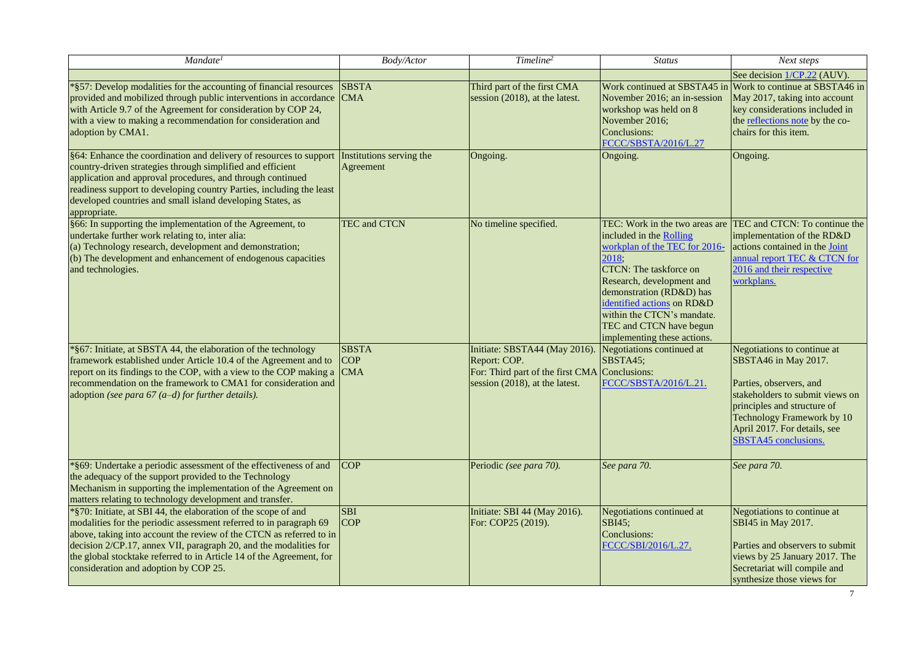| Mandate <sup>1</sup>                                                                                                                                                                                                                                                                                                                                                                              | Body/Actor                               | Timeline <sup>2</sup>                                                                                                            | <b>Status</b>                                                                                                                                                                                                                                                                                                       | Next steps                                                                                                                                                                                                                             |
|---------------------------------------------------------------------------------------------------------------------------------------------------------------------------------------------------------------------------------------------------------------------------------------------------------------------------------------------------------------------------------------------------|------------------------------------------|----------------------------------------------------------------------------------------------------------------------------------|---------------------------------------------------------------------------------------------------------------------------------------------------------------------------------------------------------------------------------------------------------------------------------------------------------------------|----------------------------------------------------------------------------------------------------------------------------------------------------------------------------------------------------------------------------------------|
|                                                                                                                                                                                                                                                                                                                                                                                                   |                                          |                                                                                                                                  |                                                                                                                                                                                                                                                                                                                     | See decision 1/CP.22 (AUV).                                                                                                                                                                                                            |
| *§57: Develop modalities for the accounting of financial resources<br>provided and mobilized through public interventions in accordance<br>with Article 9.7 of the Agreement for consideration by COP 24,<br>with a view to making a recommendation for consideration and<br>adoption by CMA1.                                                                                                    | <b>SBSTA</b><br><b>CMA</b>               | Third part of the first CMA<br>session (2018), at the latest.                                                                    | Work continued at SBSTA45 in<br>November 2016; an in-session<br>workshop was held on 8<br>November 2016;<br>Conclusions:<br>FCCC/SBSTA/2016/L.27                                                                                                                                                                    | Work to continue at SBSTA46 in<br>May 2017, taking into account<br>key considerations included in<br>the reflections note by the co-<br>chairs for this item.                                                                          |
| §64: Enhance the coordination and delivery of resources to support<br>country-driven strategies through simplified and efficient<br>application and approval procedures, and through continued<br>readiness support to developing country Parties, including the least<br>developed countries and small island developing States, as<br>appropriate.                                              | Institutions serving the<br>Agreement    | Ongoing.                                                                                                                         | Ongoing.                                                                                                                                                                                                                                                                                                            | Ongoing.                                                                                                                                                                                                                               |
| §66: In supporting the implementation of the Agreement, to<br>undertake further work relating to, inter alia:<br>(a) Technology research, development and demonstration;<br>(b) The development and enhancement of endogenous capacities<br>and technologies.                                                                                                                                     | <b>TEC and CTCN</b>                      | No timeline specified.                                                                                                           | TEC: Work in the two areas are<br>included in the Rolling<br>workplan of the TEC for 2016-<br>2018;<br><b>CTCN:</b> The taskforce on<br>Research, development and<br>demonstration (RD&D) has<br>identified actions on RD&D<br>within the CTCN's mandate.<br>TEC and CTCN have begun<br>implementing these actions. | TEC and CTCN: To continue the<br>implementation of the RD&D<br>actions contained in the Joint<br>annual report TEC & CTCN for<br>2016 and their respective<br>workplans.                                                               |
| *§67: Initiate, at SBSTA 44, the elaboration of the technology<br>framework established under Article 10.4 of the Agreement and to<br>report on its findings to the COP, with a view to the COP making a<br>recommendation on the framework to CMA1 for consideration and<br>adoption (see para $67$ (a-d) for further details).                                                                  | <b>SBSTA</b><br><b>COP</b><br><b>CMA</b> | Initiate: SBSTA44 (May 2016).<br>Report: COP.<br>For: Third part of the first CMA Conclusions:<br>session (2018), at the latest. | Negotiations continued at<br>SBSTA45;<br>FCCC/SBSTA/2016/L.21.                                                                                                                                                                                                                                                      | Negotiations to continue at<br>SBSTA46 in May 2017.<br>Parties, observers, and<br>stakeholders to submit views on<br>principles and structure of<br>Technology Framework by 10<br>April 2017. For details, see<br>SBSTA45 conclusions. |
| *§69: Undertake a periodic assessment of the effectiveness of and<br>the adequacy of the support provided to the Technology<br>Mechanism in supporting the implementation of the Agreement on<br>matters relating to technology development and transfer.                                                                                                                                         | <b>COP</b>                               | Periodic (see para 70).                                                                                                          | See para 70.                                                                                                                                                                                                                                                                                                        | See para 70.                                                                                                                                                                                                                           |
| *§70: Initiate, at SBI 44, the elaboration of the scope of and<br>modalities for the periodic assessment referred to in paragraph 69<br>above, taking into account the review of the CTCN as referred to in<br>decision 2/CP.17, annex VII, paragraph 20, and the modalities for<br>the global stocktake referred to in Article 14 of the Agreement, for<br>consideration and adoption by COP 25. | <b>SBI</b><br><b>COP</b>                 | Initiate: SBI 44 (May 2016).<br>For: COP25 (2019).                                                                               | Negotiations continued at<br>SBI45;<br>Conclusions:<br>FCCC/SBI/2016/L.27.                                                                                                                                                                                                                                          | Negotiations to continue at<br>SBI45 in May 2017.<br>Parties and observers to submit<br>views by 25 January 2017. The<br>Secretariat will compile and<br>synthesize those views for                                                    |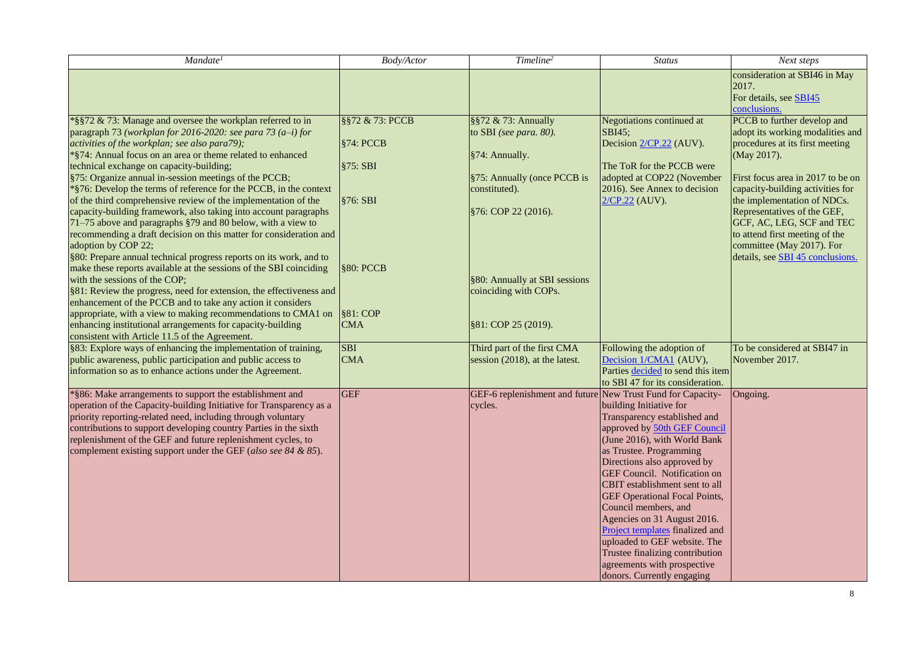| Mandate <sup>1</sup>                                                                                                                                                                                                                                                                                                                                                                                                                                                                                                                                                                                                                                                                                                                                                                                                                                                                                                                                                                                                                                                                                                                                                                                                          | Body/Actor                                                                                         | Timeline <sup>2</sup>                                                                                                                                                                                                   | <b>Status</b>                                                                                                                                                                                                                                                                                                                                                                                                                                                                                                                       | Next steps                                                                                                                                                                                                                                                                                                                                                                               |
|-------------------------------------------------------------------------------------------------------------------------------------------------------------------------------------------------------------------------------------------------------------------------------------------------------------------------------------------------------------------------------------------------------------------------------------------------------------------------------------------------------------------------------------------------------------------------------------------------------------------------------------------------------------------------------------------------------------------------------------------------------------------------------------------------------------------------------------------------------------------------------------------------------------------------------------------------------------------------------------------------------------------------------------------------------------------------------------------------------------------------------------------------------------------------------------------------------------------------------|----------------------------------------------------------------------------------------------------|-------------------------------------------------------------------------------------------------------------------------------------------------------------------------------------------------------------------------|-------------------------------------------------------------------------------------------------------------------------------------------------------------------------------------------------------------------------------------------------------------------------------------------------------------------------------------------------------------------------------------------------------------------------------------------------------------------------------------------------------------------------------------|------------------------------------------------------------------------------------------------------------------------------------------------------------------------------------------------------------------------------------------------------------------------------------------------------------------------------------------------------------------------------------------|
|                                                                                                                                                                                                                                                                                                                                                                                                                                                                                                                                                                                                                                                                                                                                                                                                                                                                                                                                                                                                                                                                                                                                                                                                                               |                                                                                                    |                                                                                                                                                                                                                         |                                                                                                                                                                                                                                                                                                                                                                                                                                                                                                                                     | consideration at SBI46 in May<br>2017.<br>For details, see <b>SBI45</b><br>conclusions.                                                                                                                                                                                                                                                                                                  |
| *§§72 & 73: Manage and oversee the workplan referred to in<br>paragraph 73 (workplan for 2016-2020: see para 73 $(a-i)$ for<br>activities of the workplan; see also para79);<br>*§74: Annual focus on an area or theme related to enhanced<br>technical exchange on capacity-building;<br>§75: Organize annual in-session meetings of the PCCB;<br>$*$ §76: Develop the terms of reference for the PCCB, in the context<br>of the third comprehensive review of the implementation of the<br>capacity-building framework, also taking into account paragraphs<br>71-75 above and paragraphs §79 and 80 below, with a view to<br>recommending a draft decision on this matter for consideration and<br>adoption by COP 22;<br>§80: Prepare annual technical progress reports on its work, and to<br>make these reports available at the sessions of the SBI coinciding<br>with the sessions of the COP;<br>§81: Review the progress, need for extension, the effectiveness and<br>enhancement of the PCCB and to take any action it considers<br>appropriate, with a view to making recommendations to CMA1 on<br>enhancing institutional arrangements for capacity-building<br>consistent with Article 11.5 of the Agreement. | §§72 & 73: PCCB<br>§74: PCCB<br>§75: SBI<br>§76: SBI<br><b>§80: PCCB</b><br>§81: COP<br><b>CMA</b> | §§72 & 73: Annually<br>to SBI (see para. 80).<br>§74: Annually.<br>§75: Annually (once PCCB is<br>constituted).<br>§76: COP 22 (2016).<br>§80: Annually at SBI sessions<br>coinciding with COPs.<br>§81: COP 25 (2019). | Negotiations continued at<br>$SBI45$ :<br>Decision 2/CP.22 (AUV).<br>The ToR for the PCCB were<br>adopted at COP22 (November<br>2016). See Annex to decision<br>2/CP.22 (AUV).                                                                                                                                                                                                                                                                                                                                                      | PCCB to further develop and<br>adopt its working modalities and<br>procedures at its first meeting<br>(May 2017).<br>First focus area in 2017 to be on<br>capacity-building activities for<br>the implementation of NDCs.<br>Representatives of the GEF,<br>GCF, AC, LEG, SCF and TEC<br>to attend first meeting of the<br>committee (May 2017). For<br>details, see SBI 45 conclusions. |
| §83: Explore ways of enhancing the implementation of training,<br>public awareness, public participation and public access to<br>information so as to enhance actions under the Agreement.                                                                                                                                                                                                                                                                                                                                                                                                                                                                                                                                                                                                                                                                                                                                                                                                                                                                                                                                                                                                                                    | <b>SBI</b><br><b>CMA</b>                                                                           | Third part of the first CMA<br>session (2018), at the latest.                                                                                                                                                           | Following the adoption of<br>Decision 1/CMA1 (AUV),<br>Parties decided to send this item<br>to SBI 47 for its consideration.                                                                                                                                                                                                                                                                                                                                                                                                        | To be considered at SBI47 in<br>November 2017.                                                                                                                                                                                                                                                                                                                                           |
| *§86: Make arrangements to support the establishment and<br>operation of the Capacity-building Initiative for Transparency as a<br>priority reporting-related need, including through voluntary<br>contributions to support developing country Parties in the sixth<br>replenishment of the GEF and future replenishment cycles, to<br>complement existing support under the GEF (also see 84 & 85).                                                                                                                                                                                                                                                                                                                                                                                                                                                                                                                                                                                                                                                                                                                                                                                                                          | <b>GEF</b>                                                                                         | GEF-6 replenishment and future New Trust Fund for Capacity-<br>cycles.                                                                                                                                                  | building Initiative for<br>Transparency established and<br>approved by 50th GEF Council<br>(June 2016), with World Bank<br>as Trustee. Programming<br>Directions also approved by<br><b>GEF Council.</b> Notification on<br>CBIT establishment sent to all<br><b>GEF</b> Operational Focal Points,<br>Council members, and<br>Agencies on 31 August 2016.<br><b>Project templates finalized and</b><br>uploaded to GEF website. The<br>Trustee finalizing contribution<br>agreements with prospective<br>donors. Currently engaging | Ongoing.                                                                                                                                                                                                                                                                                                                                                                                 |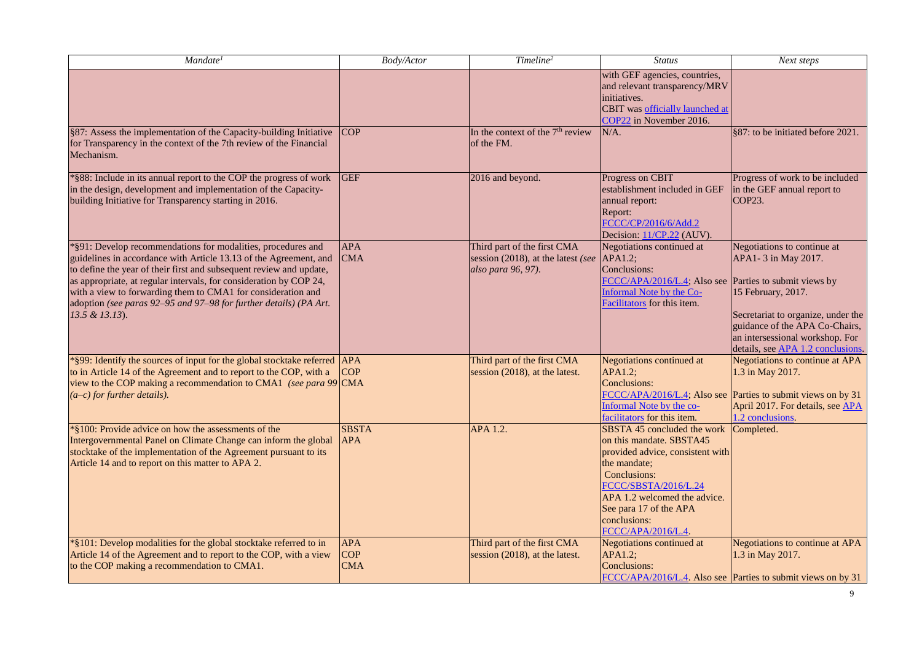| Mandate <sup>1</sup>                                                                                                                                                                                                                                                                                                                                                                                                                  | Body/Actor                             | Timeline <sup>2</sup>                                                                   | <b>Status</b>                                                                                                                                                                                                                                      | Next steps                                                                                                                                                                                                                       |
|---------------------------------------------------------------------------------------------------------------------------------------------------------------------------------------------------------------------------------------------------------------------------------------------------------------------------------------------------------------------------------------------------------------------------------------|----------------------------------------|-----------------------------------------------------------------------------------------|----------------------------------------------------------------------------------------------------------------------------------------------------------------------------------------------------------------------------------------------------|----------------------------------------------------------------------------------------------------------------------------------------------------------------------------------------------------------------------------------|
|                                                                                                                                                                                                                                                                                                                                                                                                                                       |                                        |                                                                                         | with GEF agencies, countries,<br>and relevant transparency/MRV<br>initiatives.<br>CBIT was officially launched at<br>COP22 in November 2016.                                                                                                       |                                                                                                                                                                                                                                  |
| §87: Assess the implementation of the Capacity-building Initiative<br>for Transparency in the context of the 7th review of the Financial<br>Mechanism.                                                                                                                                                                                                                                                                                | <b>COP</b>                             | In the context of the 7 <sup>th</sup> review<br>of the FM.                              | $N/A$ .                                                                                                                                                                                                                                            | §87: to be initiated before 2021.                                                                                                                                                                                                |
| *§88: Include in its annual report to the COP the progress of work<br>in the design, development and implementation of the Capacity-<br>building Initiative for Transparency starting in 2016.                                                                                                                                                                                                                                        | <b>GEF</b>                             | 2016 and beyond.                                                                        | Progress on CBIT<br>establishment included in GEF<br>annual report:<br>Report:<br>FCCC/CP/2016/6/Add.2<br>Decision: 11/CP.22 (AUV).                                                                                                                | Progress of work to be included<br>in the GEF annual report to<br>COP23.                                                                                                                                                         |
| *§91: Develop recommendations for modalities, procedures and<br>guidelines in accordance with Article 13.13 of the Agreement, and<br>to define the year of their first and subsequent review and update,<br>as appropriate, at regular intervals, for consideration by COP 24,<br>with a view to forwarding them to CMA1 for consideration and<br>adoption (see paras 92-95 and 97-98 for further details) (PA Art.<br>13.5 & 13.13). | <b>APA</b><br><b>CMA</b>               | Third part of the first CMA<br>session (2018), at the latest (see<br>also para 96, 97). | Negotiations continued at<br>APA1.2;<br>Conclusions:<br>FCCC/APA/2016/L.4; Also see Parties to submit views by<br>Informal Note by the Co-<br>Facilitators for this item.                                                                          | Negotiations to continue at<br>APA1-3 in May 2017.<br>15 February, 2017.<br>Secretariat to organize, under the<br>guidance of the APA Co-Chairs,<br>an intersessional workshop. For<br>details, see <b>APA 1.2 conclusions</b> . |
| *§99: Identify the sources of input for the global stocktake referred<br>to in Article 14 of the Agreement and to report to the COP, with a<br>view to the COP making a recommendation to CMA1 (see para 99 CMA<br>$(a-c)$ for further details).                                                                                                                                                                                      | <b>APA</b><br><b>COP</b>               | Third part of the first CMA<br>session (2018), at the latest.                           | <b>Negotiations continued at</b><br>APA1.2:<br>Conclusions:<br>FCCC/APA/2016/L.4; Also see<br>Informal Note by the co-<br>facilitators for this item.                                                                                              | Negotiations to continue at APA<br>1.3 in May 2017.<br>Parties to submit views on by 31<br>April 2017. For details, see APA<br>1.2 conclusions.                                                                                  |
| *§100: Provide advice on how the assessments of the<br>Intergovernmental Panel on Climate Change can inform the global<br>stocktake of the implementation of the Agreement pursuant to its<br>Article 14 and to report on this matter to APA 2.                                                                                                                                                                                       | <b>SBSTA</b><br><b>APA</b>             | APA 1.2.                                                                                | SBSTA 45 concluded the work<br>on this mandate. SBSTA45<br>provided advice, consistent with<br>the mandate;<br>Conclusions:<br>FCCC/SBSTA/2016/L.24<br>APA 1.2 welcomed the advice.<br>See para 17 of the APA<br>conclusions:<br>FCCC/APA/2016/L.4 | Completed.                                                                                                                                                                                                                       |
| *§101: Develop modalities for the global stocktake referred to in<br>Article 14 of the Agreement and to report to the COP, with a view<br>to the COP making a recommendation to CMA1.                                                                                                                                                                                                                                                 | <b>APA</b><br><b>COP</b><br><b>CMA</b> | Third part of the first CMA<br>session (2018), at the latest.                           | <b>Negotiations continued at</b><br>APA1.2;<br>Conclusions:                                                                                                                                                                                        | <b>Negotiations to continue at APA</b><br>1.3 in May 2017.<br>FCCC/APA/2016/L.4. Also see Parties to submit views on by 31                                                                                                       |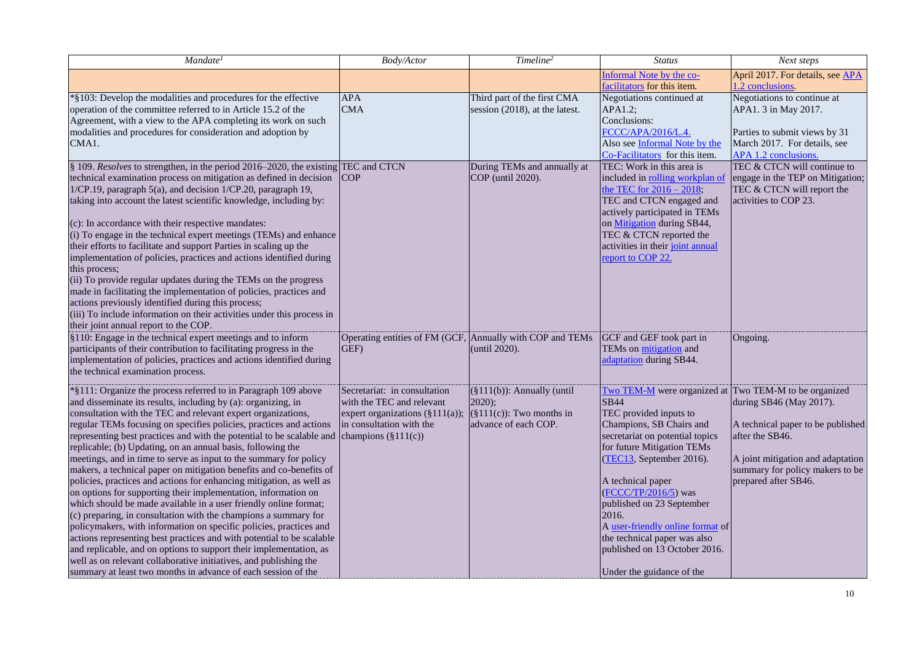| Mandate <sup>1</sup>                                                                                                                                                                                                                                                                                                                                                                                                                                                                                                                                                                                                                                                                                                                                                                                                                                                                                                                                                                                                                                                                                                                                                                                  | <b>Body/Actor</b>                                                                                                                                  | Timeline <sup>2</sup>                                                                              | <b>Status</b>                                                                                                                                                                                                                                                                                                                                                                                                        | Next steps                                                                                                                                                                                                   |
|-------------------------------------------------------------------------------------------------------------------------------------------------------------------------------------------------------------------------------------------------------------------------------------------------------------------------------------------------------------------------------------------------------------------------------------------------------------------------------------------------------------------------------------------------------------------------------------------------------------------------------------------------------------------------------------------------------------------------------------------------------------------------------------------------------------------------------------------------------------------------------------------------------------------------------------------------------------------------------------------------------------------------------------------------------------------------------------------------------------------------------------------------------------------------------------------------------|----------------------------------------------------------------------------------------------------------------------------------------------------|----------------------------------------------------------------------------------------------------|----------------------------------------------------------------------------------------------------------------------------------------------------------------------------------------------------------------------------------------------------------------------------------------------------------------------------------------------------------------------------------------------------------------------|--------------------------------------------------------------------------------------------------------------------------------------------------------------------------------------------------------------|
|                                                                                                                                                                                                                                                                                                                                                                                                                                                                                                                                                                                                                                                                                                                                                                                                                                                                                                                                                                                                                                                                                                                                                                                                       |                                                                                                                                                    |                                                                                                    | Informal Note by the co-<br>facilitators for this item.                                                                                                                                                                                                                                                                                                                                                              | April 2017. For details, see APA<br>1.2 conclusions.                                                                                                                                                         |
| *§103: Develop the modalities and procedures for the effective<br>operation of the committee referred to in Article 15.2 of the<br>Agreement, with a view to the APA completing its work on such<br>modalities and procedures for consideration and adoption by<br>CMA1.                                                                                                                                                                                                                                                                                                                                                                                                                                                                                                                                                                                                                                                                                                                                                                                                                                                                                                                              | <b>APA</b><br><b>CMA</b>                                                                                                                           | Third part of the first CMA<br>session (2018), at the latest.                                      | Negotiations continued at<br>APA1.2;<br>Conclusions:<br>FCCC/APA/2016/L.4.<br>Also see Informal Note by the<br>Co-Facilitators for this item.                                                                                                                                                                                                                                                                        | Negotiations to continue at<br>APA1. 3 in May 2017.<br>Parties to submit views by 31<br>March 2017. For details, see<br>APA 1.2 conclusions.                                                                 |
| § 109. Resolves to strengthen, in the period 2016–2020, the existing TEC and CTCN<br>technical examination process on mitigation as defined in decision<br>1/CP.19, paragraph 5(a), and decision 1/CP.20, paragraph 19,<br>taking into account the latest scientific knowledge, including by:<br>(c): In accordance with their respective mandates:<br>(i) To engage in the technical expert meetings (TEMs) and enhance<br>their efforts to facilitate and support Parties in scaling up the<br>implementation of policies, practices and actions identified during<br>this process;<br>(ii) To provide regular updates during the TEMs on the progress<br>made in facilitating the implementation of policies, practices and<br>actions previously identified during this process;<br>(iii) To include information on their activities under this process in<br>their joint annual report to the COP.                                                                                                                                                                                                                                                                                               | <b>COP</b>                                                                                                                                         | During TEMs and annually at<br>COP (until 2020).                                                   | TEC: Work in this area is<br>included in rolling workplan of<br>the TEC for $2016 - 2018$ ;<br>TEC and CTCN engaged and<br>actively participated in TEMs<br>on Mitigation during SB44,<br>TEC & CTCN reported the<br>activities in their joint annual<br>report to COP 22.                                                                                                                                           | TEC & CTCN will continue to<br>engage in the TEP on Mitigation;<br>TEC & CTCN will report the<br>activities to COP 23.                                                                                       |
| §110: Engage in the technical expert meetings and to inform<br>participants of their contribution to facilitating progress in the<br>implementation of policies, practices and actions identified during<br>the technical examination process.                                                                                                                                                                                                                                                                                                                                                                                                                                                                                                                                                                                                                                                                                                                                                                                                                                                                                                                                                        | Operating entities of FM (GCF, Annually with COP and TEMs<br>GEF)                                                                                  | (until 2020).                                                                                      | GCF and GEF took part in<br>TEMs on mitigation and<br>adaptation during SB44.                                                                                                                                                                                                                                                                                                                                        | Ongoing.                                                                                                                                                                                                     |
| *§111: Organize the process referred to in Paragraph 109 above<br>and disseminate its results, including by (a): organizing, in<br>consultation with the TEC and relevant expert organizations,<br>regular TEMs focusing on specifies policies, practices and actions<br>representing best practices and with the potential to be scalable and<br>replicable; (b) Updating, on an annual basis, following the<br>meetings, and in time to serve as input to the summary for policy<br>makers, a technical paper on mitigation benefits and co-benefits of<br>policies, practices and actions for enhancing mitigation, as well as<br>on options for supporting their implementation, information on<br>which should be made available in a user friendly online format;<br>(c) preparing, in consultation with the champions a summary for<br>policymakers, with information on specific policies, practices and<br>actions representing best practices and with potential to be scalable<br>and replicable, and on options to support their implementation, as<br>well as on relevant collaborative initiatives, and publishing the<br>summary at least two months in advance of each session of the | Secretariat: in consultation<br>with the TEC and relevant<br>expert organizations (§111(a));<br>in consultation with the<br>champions $(\S111(c))$ | $(\S111(b))$ : Annually (until<br>$2020$ ;<br>$(\S111(c))$ : Two months in<br>advance of each COP. | Two TEM-M were organized at<br><b>SB44</b><br>TEC provided inputs to<br>Champions, SB Chairs and<br>secretariat on potential topics<br>for future Mitigation TEMs<br>(TEC13, September 2016).<br>A technical paper<br>$(FCCC/TP/2016/5)$ was<br>published on 23 September<br>2016.<br>A user-friendly online format of<br>the technical paper was also<br>published on 13 October 2016.<br>Under the guidance of the | Two TEM-M to be organized<br>during SB46 (May 2017).<br>A technical paper to be published<br>after the SB46.<br>A joint mitigation and adaptation<br>summary for policy makers to be<br>prepared after SB46. |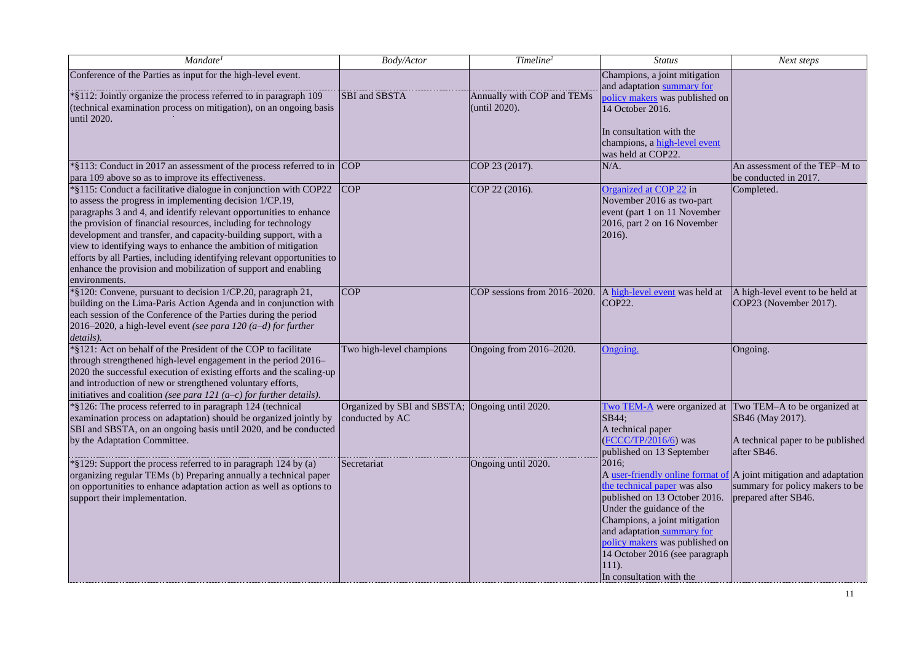| Mandate <sup>1</sup>                                                                                                                                                                                                                                                                                                                                                                                                                                                                                                                                                    | Body/Actor                                                         | Timeline <sup>2</sup>                       | <b>Status</b>                                                                                                                                                                                                                                                                 | Next steps                                                                                                                    |
|-------------------------------------------------------------------------------------------------------------------------------------------------------------------------------------------------------------------------------------------------------------------------------------------------------------------------------------------------------------------------------------------------------------------------------------------------------------------------------------------------------------------------------------------------------------------------|--------------------------------------------------------------------|---------------------------------------------|-------------------------------------------------------------------------------------------------------------------------------------------------------------------------------------------------------------------------------------------------------------------------------|-------------------------------------------------------------------------------------------------------------------------------|
| Conference of the Parties as input for the high-level event.<br>*§112: Jointly organize the process referred to in paragraph 109<br>(technical examination process on mitigation), on an ongoing basis<br>until 2020.                                                                                                                                                                                                                                                                                                                                                   | SBI and SBSTA                                                      | Annually with COP and TEMs<br>(until 2020). | Champions, a joint mitigation<br>and adaptation summary for<br>policy makers was published on<br>14 October 2016.<br>In consultation with the<br>champions, a high-level event<br>was held at COP22.                                                                          |                                                                                                                               |
| *§113: Conduct in 2017 an assessment of the process referred to in COP<br>para 109 above so as to improve its effectiveness.                                                                                                                                                                                                                                                                                                                                                                                                                                            |                                                                    | COP 23 (2017).                              | $N/A$ .                                                                                                                                                                                                                                                                       | An assessment of the TEP-M to<br>be conducted in 2017.                                                                        |
| *§115: Conduct a facilitative dialogue in conjunction with COP22<br>to assess the progress in implementing decision 1/CP.19,<br>paragraphs 3 and 4, and identify relevant opportunities to enhance<br>the provision of financial resources, including for technology<br>development and transfer, and capacity-building support, with a<br>view to identifying ways to enhance the ambition of mitigation<br>efforts by all Parties, including identifying relevant opportunities to<br>enhance the provision and mobilization of support and enabling<br>environments. | <b>COP</b>                                                         | COP 22 (2016).                              | Organized at COP 22 in<br>November 2016 as two-part<br>event (part 1 on 11 November<br>2016, part 2 on 16 November<br>2016).                                                                                                                                                  | Completed.                                                                                                                    |
| *§120: Convene, pursuant to decision 1/CP.20, paragraph 21,<br>building on the Lima-Paris Action Agenda and in conjunction with<br>each session of the Conference of the Parties during the period<br>2016–2020, a high-level event (see para 120 $(a-d)$ for further<br>details).                                                                                                                                                                                                                                                                                      | <b>COP</b>                                                         | COP sessions from 2016-2020.                | A high-level event was held at<br>COP22.                                                                                                                                                                                                                                      | A high-level event to be held at<br>COP23 (November 2017).                                                                    |
| *§121: Act on behalf of the President of the COP to facilitate<br>through strengthened high-level engagement in the period 2016–<br>2020 the successful execution of existing efforts and the scaling-up<br>and introduction of new or strengthened voluntary efforts,<br>initiatives and coalition (see para 121 $(a-c)$ for further details).                                                                                                                                                                                                                         | Two high-level champions                                           | Ongoing from 2016-2020.                     | Ongoing.                                                                                                                                                                                                                                                                      | Ongoing.                                                                                                                      |
| *§126: The process referred to in paragraph 124 (technical<br>examination process on adaptation) should be organized jointly by<br>SBI and SBSTA, on an ongoing basis until 2020, and be conducted<br>by the Adaptation Committee.                                                                                                                                                                                                                                                                                                                                      | Organized by SBI and SBSTA; Ongoing until 2020.<br>conducted by AC |                                             | Two TEM-A were organized at Two TEM-A to be organized at<br>SB44;<br>A technical paper<br>(FCCC/TP/2016/6) was<br>published on 13 September                                                                                                                                   | SB46 (May 2017).<br>A technical paper to be published<br>after SB46.                                                          |
| *§129: Support the process referred to in paragraph 124 by (a)<br>organizing regular TEMs (b) Preparing annually a technical paper<br>on opportunities to enhance adaptation action as well as options to<br>support their implementation.                                                                                                                                                                                                                                                                                                                              | Secretariat                                                        | Ongoing until 2020.                         | 2016;<br>the technical paper was also<br>published on 13 October 2016.<br>Under the guidance of the<br>Champions, a joint mitigation<br>and adaptation summary for<br>policy makers was published on<br>14 October 2016 (see paragraph<br>$111$ .<br>In consultation with the | A user-friendly online format of A joint mitigation and adaptation<br>summary for policy makers to be<br>prepared after SB46. |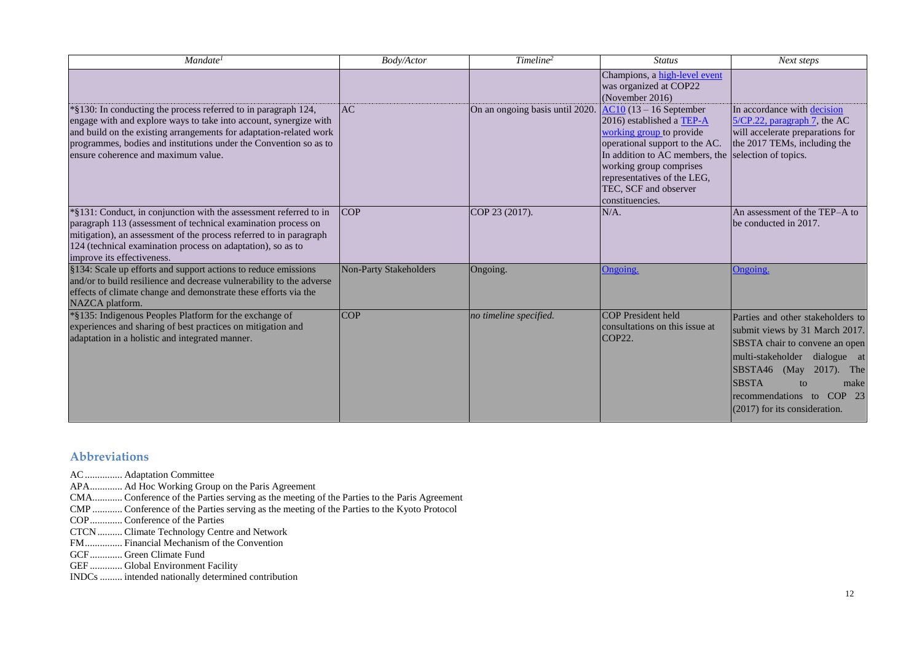| Mandate <sup>1</sup>                                                                                                                                                                                                                                                                                  | Body/Actor                    | Timeline <sup>2</sup>           | <b>Status</b>                                                                                                                                                                                                                                        | Next steps                                                                                                                                                                                                                                                            |
|-------------------------------------------------------------------------------------------------------------------------------------------------------------------------------------------------------------------------------------------------------------------------------------------------------|-------------------------------|---------------------------------|------------------------------------------------------------------------------------------------------------------------------------------------------------------------------------------------------------------------------------------------------|-----------------------------------------------------------------------------------------------------------------------------------------------------------------------------------------------------------------------------------------------------------------------|
| *§130: In conducting the process referred to in paragraph 124,                                                                                                                                                                                                                                        | <b>AC</b>                     | On an ongoing basis until 2020. | Champions, a high-level event<br>was organized at COP22<br>(November 2016)<br>$AC10$ (13 – 16 September                                                                                                                                              | In accordance with decision                                                                                                                                                                                                                                           |
| engage with and explore ways to take into account, synergize with<br>and build on the existing arrangements for adaptation-related work<br>programmes, bodies and institutions under the Convention so as to<br>ensure coherence and maximum value.                                                   |                               |                                 | 2016) established a TEP-A<br>working group to provide<br>operational support to the AC.<br>In addition to AC members, the selection of topics.<br>working group comprises<br>representatives of the LEG,<br>TEC, SCF and observer<br>constituencies. | $5/CP.22$ , paragraph 7, the AC<br>will accelerate preparations for<br>the 2017 TEMs, including the                                                                                                                                                                   |
| *§131: Conduct, in conjunction with the assessment referred to in<br>paragraph 113 (assessment of technical examination process on<br>mitigation), an assessment of the process referred to in paragraph<br>124 (technical examination process on adaptation), so as to<br>improve its effectiveness. | <b>COP</b>                    | COP 23 (2017).                  | $N/A$ .                                                                                                                                                                                                                                              | An assessment of the TEP–A to<br>be conducted in 2017.                                                                                                                                                                                                                |
| §134: Scale up efforts and support actions to reduce emissions<br>and/or to build resilience and decrease vulnerability to the adverse<br>effects of climate change and demonstrate these efforts via the<br>NAZCA platform.                                                                          | <b>Non-Party Stakeholders</b> | Ongoing.                        | Ongoing.                                                                                                                                                                                                                                             | Ongoing.                                                                                                                                                                                                                                                              |
| *§135: Indigenous Peoples Platform for the exchange of<br>experiences and sharing of best practices on mitigation and<br>adaptation in a holistic and integrated manner.                                                                                                                              | <b>COP</b>                    | no timeline specified.          | <b>COP</b> President held<br>consultations on this issue at<br>COP22.                                                                                                                                                                                | Parties and other stakeholders to<br>submit views by 31 March 2017.<br>SBSTA chair to convene an open<br>multi-stakeholder dialogue at<br>$ SBSTA46 \t(May 2017)$ . The<br><b>SBSTA</b><br>to<br>make<br>recommendations to COP 23<br>$(2017)$ for its consideration. |

## **Abbreviations**

- AC............... Adaptation Committee
- APA............. Ad Hoc Working Group on the Paris Agreement
- CMA............ Conference of the Parties serving as the meeting of the Parties to the Paris Agreement
- CMP ............ Conference of the Parties serving as the meeting of the Parties to the Kyoto Protocol
- COP............. Conference of the Parties
- CTCN.......... Climate Technology Centre and Network
- FM............... Financial Mechanism of the Convention
- GCF............. Green Climate Fund
- GEF ............. Global Environment Facility
- INDCs ......... intended nationally determined contribution